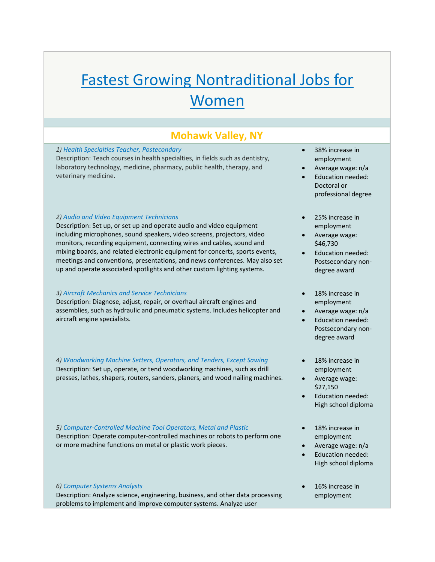# Fastest Growing Nontraditional Jobs for Women

# **Mohawk Valley, NY**

#### *1) Health Specialties Teacher, Postecondary*

Description: Teach courses in health specialties, in fields such as dentistry, laboratory technology, medicine, pharmacy, public health, therapy, and veterinary medicine.

# *2) Audio and Video Equipment Technicians*

Description: Set up, or set up and operate audio and video equipment including microphones, sound speakers, video screens, projectors, video monitors, recording equipment, connecting wires and cables, sound and mixing boards, and related electronic equipment for concerts, sports events, meetings and conventions, presentations, and news conferences. May also set up and operate associated spotlights and other custom lighting systems.

# *3) Aircraft Mechanics and Service Technicians*

Description: Diagnose, adjust, repair, or overhaul aircraft engines and assemblies, such as hydraulic and pneumatic systems. Includes helicopter and aircraft engine specialists.

# *4) Woodworking Machine Setters, Operators, and Tenders, Except Sawing*

Description: Set up, operate, or tend woodworking machines, such as drill presses, lathes, shapers, routers, sanders, planers, and wood nailing machines.

# *5) Computer‐Controlled Machine Tool Operators, Metal and Plastic*

Description: Operate computer‐controlled machines or robots to perform one or more machine functions on metal or plastic work pieces.

#### *6) Computer Systems Analysts*

Description: Analyze science, engineering, business, and other data processing problems to implement and improve computer systems. Analyze user

- 38% increase in employment
- Average wage: n/a
- Education needed: Doctoral or professional degree
- 25% increase in employment
- Average wage: \$46,730
- Education needed: Postsecondary non‐ degree award
- 18% increase in employment
- Average wage: n/a
- Education needed: Postsecondary non‐ degree award
- 18% increase in employment
- Average wage: \$27,150
- Education needed: High school diploma
- 18% increase in employment
- Average wage: n/a
- Education needed: High school diploma
- 16% increase in employment